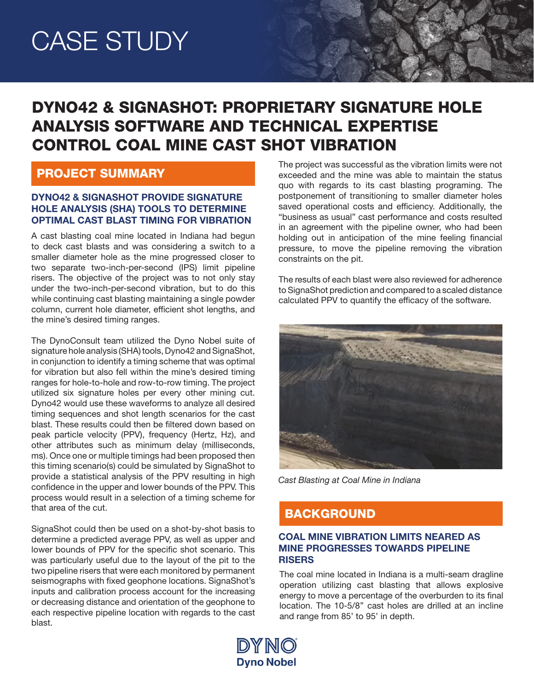## DYNO42 & SIGNASHOT: PROPRIETARY SIGNATURE HOLE ANALYSIS SOFTWARE AND TECHNICAL EXPERTISE CONTROL COAL MINE CAST SHOT VIBRATION

## PROJECT SUMMARY

#### DYNO42 & SIGNASHOT PROVIDE SIGNATURE HOLE ANALYSIS (SHA) TOOLS TO DETERMINE OPTIMAL CAST BLAST TIMING FOR VIBRATION

A cast blasting coal mine located in Indiana had begun to deck cast blasts and was considering a switch to a smaller diameter hole as the mine progressed closer to two separate two-inch-per-second (IPS) limit pipeline risers. The objective of the project was to not only stay under the two-inch-per-second vibration, but to do this while continuing cast blasting maintaining a single powder column, current hole diameter, efficient shot lengths, and the mine's desired timing ranges.

The DynoConsult team utilized the Dyno Nobel suite of signature hole analysis (SHA) tools, Dyno42 and SignaShot, in conjunction to identify a timing scheme that was optimal for vibration but also fell within the mine's desired timing ranges for hole-to-hole and row-to-row timing. The project utilized six signature holes per every other mining cut. Dyno42 would use these waveforms to analyze all desired timing sequences and shot length scenarios for the cast blast. These results could then be filtered down based on peak particle velocity (PPV), frequency (Hertz, Hz), and other attributes such as minimum delay (milliseconds, ms). Once one or multiple timings had been proposed then this timing scenario(s) could be simulated by SignaShot to provide a statistical analysis of the PPV resulting in high confidence in the upper and lower bounds of the PPV. This process would result in a selection of a timing scheme for that area of the cut.

SignaShot could then be used on a shot-by-shot basis to determine a predicted average PPV, as well as upper and lower bounds of PPV for the specific shot scenario. This was particularly useful due to the layout of the pit to the two pipeline risers that were each monitored by permanent seismographs with fixed geophone locations. SignaShot's inputs and calibration process account for the increasing or decreasing distance and orientation of the geophone to each respective pipeline location with regards to the cast blast.

The project was successful as the vibration limits were not exceeded and the mine was able to maintain the status quo with regards to its cast blasting programing. The postponement of transitioning to smaller diameter holes saved operational costs and efficiency. Additionally, the "business as usual" cast performance and costs resulted in an agreement with the pipeline owner, who had been holding out in anticipation of the mine feeling financial pressure, to move the pipeline removing the vibration constraints on the pit.

The results of each blast were also reviewed for adherence to SignaShot prediction and compared to a scaled distance calculated PPV to quantify the efficacy of the software.



*Cast Blasting at Coal Mine in Indiana*

## BACKGROUND

#### COAL MINE VIBRATION LIMITS NEARED AS MINE PROGRESSES TOWARDS PIPELINE **RISERS**

The coal mine located in Indiana is a multi-seam dragline operation utilizing cast blasting that allows explosive energy to move a percentage of the overburden to its final location. The 10-5/8'' cast holes are drilled at an incline and range from 85' to 95' in depth.

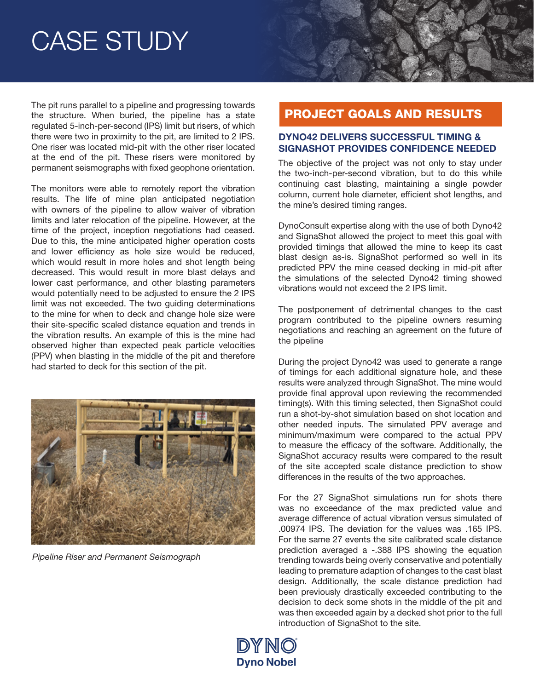The pit runs parallel to a pipeline and progressing towards the structure. When buried, the pipeline has a state regulated 5-inch-per-second (IPS) limit but risers, of which there were two in proximity to the pit, are limited to 2 IPS. One riser was located mid-pit with the other riser located at the end of the pit. These risers were monitored by permanent seismographs with fixed geophone orientation.

The monitors were able to remotely report the vibration results. The life of mine plan anticipated negotiation with owners of the pipeline to allow waiver of vibration limits and later relocation of the pipeline. However, at the time of the project, inception negotiations had ceased. Due to this, the mine anticipated higher operation costs and lower efficiency as hole size would be reduced, which would result in more holes and shot length being decreased. This would result in more blast delays and lower cast performance, and other blasting parameters would potentially need to be adjusted to ensure the 2 IPS limit was not exceeded. The two guiding determinations to the mine for when to deck and change hole size were their site-specific scaled distance equation and trends in the vibration results. An example of this is the mine had observed higher than expected peak particle velocities (PPV) when blasting in the middle of the pit and therefore had started to deck for this section of the pit.



*Pipeline Riser and Permanent Seismograph*

### PROJECT GOALS AND RESULTS

#### DYNO42 DELIVERS SUCCESSFUL TIMING & SIGNASHOT PROVIDES CONFIDENCE NEEDED

The objective of the project was not only to stay under the two-inch-per-second vibration, but to do this while continuing cast blasting, maintaining a single powder column, current hole diameter, efficient shot lengths, and the mine's desired timing ranges.

DynoConsult expertise along with the use of both Dyno42 and SignaShot allowed the project to meet this goal with provided timings that allowed the mine to keep its cast blast design as-is. SignaShot performed so well in its predicted PPV the mine ceased decking in mid-pit after the simulations of the selected Dyno42 timing showed vibrations would not exceed the 2 IPS limit.

The postponement of detrimental changes to the cast program contributed to the pipeline owners resuming negotiations and reaching an agreement on the future of the pipeline

During the project Dyno42 was used to generate a range of timings for each additional signature hole, and these results were analyzed through SignaShot. The mine would provide final approval upon reviewing the recommended timing(s). With this timing selected, then SignaShot could run a shot-by-shot simulation based on shot location and other needed inputs. The simulated PPV average and minimum/maximum were compared to the actual PPV to measure the efficacy of the software. Additionally, the SignaShot accuracy results were compared to the result of the site accepted scale distance prediction to show differences in the results of the two approaches.

For the 27 SignaShot simulations run for shots there was no exceedance of the max predicted value and average difference of actual vibration versus simulated of .00974 IPS. The deviation for the values was .165 IPS. For the same 27 events the site calibrated scale distance prediction averaged a -.388 IPS showing the equation trending towards being overly conservative and potentially leading to premature adaption of changes to the cast blast design. Additionally, the scale distance prediction had been previously drastically exceeded contributing to the decision to deck some shots in the middle of the pit and was then exceeded again by a decked shot prior to the full introduction of SignaShot to the site.

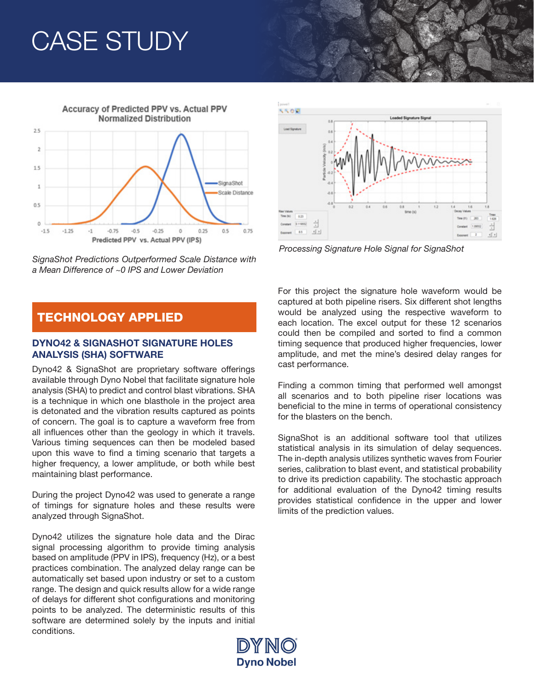

*SignaShot Predictions Outperformed Scale Distance with a Mean Difference of ~0 IPS and Lower Deviation*

### TECHNOLOGY APPLIED

#### DYNO42 & SIGNASHOT SIGNATURE HOLES ANALYSIS (SHA) SOFTWARE

Dyno42 & SignaShot are proprietary software offerings available through Dyno Nobel that facilitate signature hole analysis (SHA) to predict and control blast vibrations. SHA is a technique in which one blasthole in the project area is detonated and the vibration results captured as points of concern. The goal is to capture a waveform free from all influences other than the geology in which it travels. Various timing sequences can then be modeled based upon this wave to find a timing scenario that targets a higher frequency, a lower amplitude, or both while best maintaining blast performance.

During the project Dyno42 was used to generate a range of timings for signature holes and these results were analyzed through SignaShot.

Dyno42 utilizes the signature hole data and the Dirac signal processing algorithm to provide timing analysis based on amplitude (PPV in IPS), frequency (Hz), or a best practices combination. The analyzed delay range can be automatically set based upon industry or set to a custom range. The design and quick results allow for a wide range of delays for different shot configurations and monitoring points to be analyzed. The deterministic results of this software are determined solely by the inputs and initial conditions.



*Processing Signature Hole Signal for SignaShot*

For this project the signature hole waveform would be captured at both pipeline risers. Six different shot lengths would be analyzed using the respective waveform to each location. The excel output for these 12 scenarios could then be compiled and sorted to find a common timing sequence that produced higher frequencies, lower amplitude, and met the mine's desired delay ranges for cast performance.

Finding a common timing that performed well amongst all scenarios and to both pipeline riser locations was beneficial to the mine in terms of operational consistency for the blasters on the bench.

SignaShot is an additional software tool that utilizes statistical analysis in its simulation of delay sequences. The in-depth analysis utilizes synthetic waves from Fourier series, calibration to blast event, and statistical probability to drive its prediction capability. The stochastic approach for additional evaluation of the Dyno42 timing results provides statistical confidence in the upper and lower limits of the prediction values.